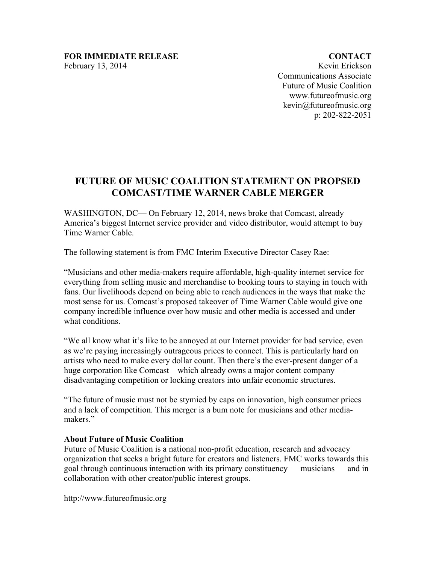**CONTACT** Kevin Erickson Communications Associate Future of Music Coalition www.futureofmusic.org kevin@futureofmusic.org p: 202-822-2051

## **FUTURE OF MUSIC COALITION STATEMENT ON PROPSED COMCAST/TIME WARNER CABLE MERGER**

WASHINGTON, DC— On February 12, 2014, news broke that Comcast, already America's biggest Internet service provider and video distributor, would attempt to buy Time Warner Cable.

The following statement is from FMC Interim Executive Director Casey Rae:

"Musicians and other media-makers require affordable, high-quality internet service for everything from selling music and merchandise to booking tours to staying in touch with fans. Our livelihoods depend on being able to reach audiences in the ways that make the most sense for us. Comcast's proposed takeover of Time Warner Cable would give one company incredible influence over how music and other media is accessed and under what conditions.

"We all know what it's like to be annoyed at our Internet provider for bad service, even as we're paying increasingly outrageous prices to connect. This is particularly hard on artists who need to make every dollar count. Then there's the ever-present danger of a huge corporation like Comcast—which already owns a major content company disadvantaging competition or locking creators into unfair economic structures.

"The future of music must not be stymied by caps on innovation, high consumer prices and a lack of competition. This merger is a bum note for musicians and other mediamakers."

## **About Future of Music Coalition**

Future of Music Coalition is a national non-profit education, research and advocacy organization that seeks a bright future for creators and listeners. FMC works towards this goal through continuous interaction with its primary constituency — musicians — and in collaboration with other creator/public interest groups.

http://www.futureofmusic.org